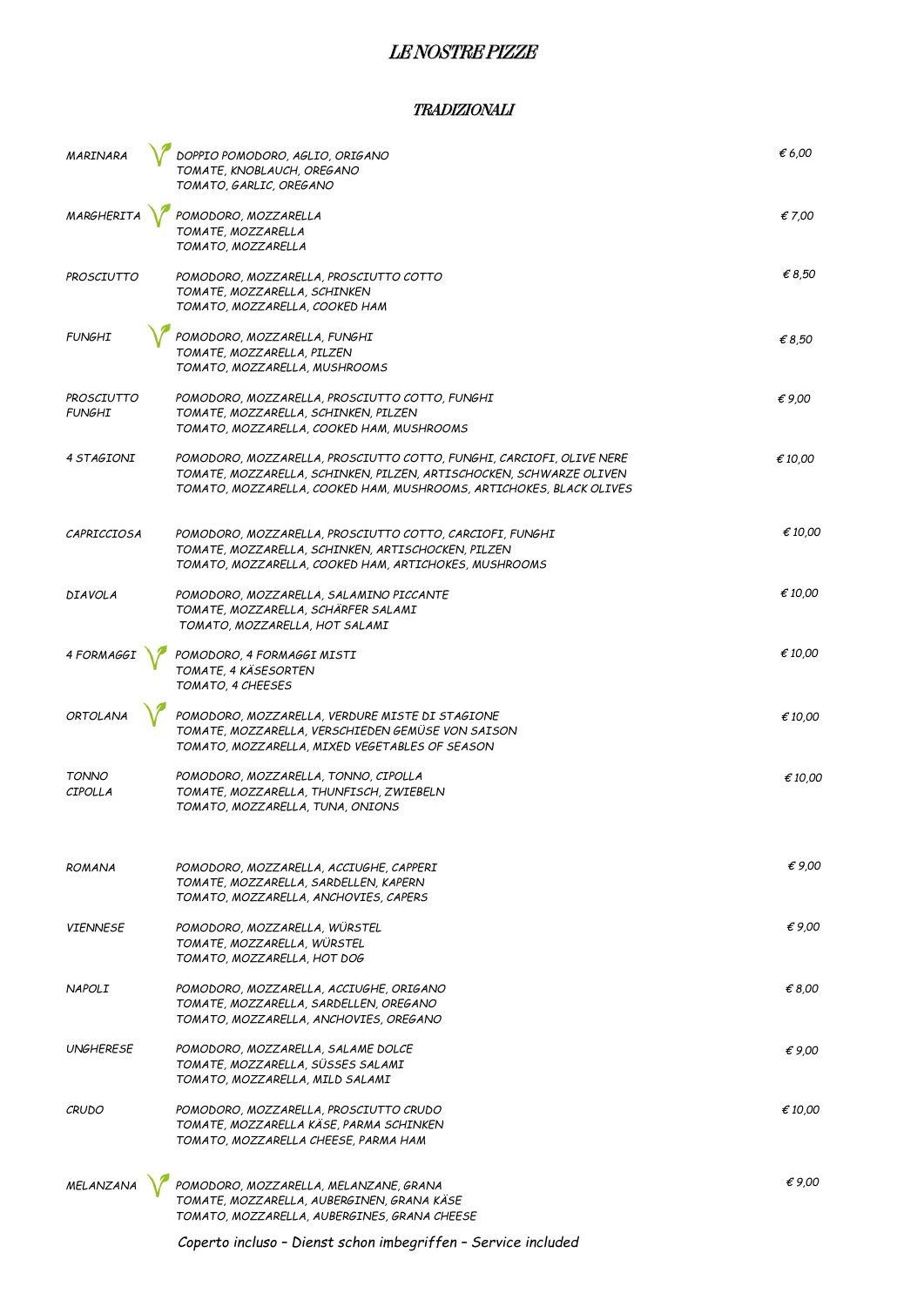# LE NOSTRE PIZZE

### TRADIZIONALI

| MARINARA                       | DOPPIO POMODORO, AGLIO, ORIGANO<br>TOMATE, KNOBLAUCH, OREGANO<br>TOMATO, GARLIC, OREGANO                                                                                                                           | € 6,00           |
|--------------------------------|--------------------------------------------------------------------------------------------------------------------------------------------------------------------------------------------------------------------|------------------|
| <b>MARGHERIT</b>               | POMODORO, MOZZARELLA<br>TOMATE, MOZZARELLA<br>TOMATO, MOZZARELLA                                                                                                                                                   | € 7,00           |
| PROSCIUTTO                     | POMODORO, MOZZARELLA, PROSCIUTTO COTTO<br>TOMATE, MOZZARELLA, SCHINKEN<br>TOMATO, MOZZARELLA, COOKED HAM                                                                                                           | € 8.50           |
| <b>FUNGHI</b>                  | POMODORO, MOZZARELLA, FUNGHI<br>TOMATE, MOZZARELLA, PILZEN<br>TOMATO, MOZZARELLA, MUSHROOMS                                                                                                                        | € 8,50           |
| PROSCIUTTO<br><b>FUNGHI</b>    | POMODORO, MOZZARELLA, PROSCIUTTO COTTO, FUNGHI<br>TOMATE, MOZZARELLA, SCHINKEN, PILZEN<br>TOMATO, MOZZARELLA, COOKED HAM, MUSHROOMS                                                                                | €9,00            |
| 4 STAGIONI                     | POMODORO, MOZZARELLA, PROSCIUTTO COTTO, FUNGHI, CARCIOFI, OLIVE NERE<br>TOMATE, MOZZARELLA, SCHINKEN, PILZEN, ARTISCHOCKEN, SCHWARZE OLIVEN<br>TOMATO, MOZZARELLA, COOKED HAM, MUSHROOMS, ARTICHOKES, BLACK OLIVES | € 10,00          |
| CAPRICCIOSA                    | POMODORO, MOZZARELLA, PROSCIUTTO COTTO, CARCIOFI, FUNGHI<br>TOMATE, MOZZARELLA, SCHINKEN, ARTISCHOCKEN, PILZEN<br>TOMATO, MOZZARELLA, COOKED HAM, ARTICHOKES, MUSHROOMS                                            | € 10.00          |
| <b>DIAVOLA</b>                 | POMODORO, MOZZARELLA, SALAMINO PICCANTE<br>TOMATE, MOZZARELLA, SCHARFER SALAMI<br>TOMATO, MOZZARELLA, HOT SALAMI                                                                                                   | € 10,00          |
| 4 FORMAGG                      | POMODORO, 4 FORMAGGI MISTI<br>TOMATE, 4 KÄSESORTEN<br>TOMATO, 4 CHEESES                                                                                                                                            | € 10,00          |
| <b>ORTOLANA</b>                | POMODORO, MOZZARELLA, VERDURE MISTE DI STAGIONE<br>TOMATE, MOZZARELLA, VERSCHIEDEN GEMÜSE VON SAISON<br>TOMATO, MOZZARELLA, MIXED VEGETABLES OF SEASON                                                             | €10,00           |
| <b>TONNO</b><br><b>CIPOLLA</b> | POMODORO, MOZZARELLA, TONNO, CIPOLLA<br>TOMATE, MOZZARELLA, THUNFISCH, ZWIEBELN<br>TOMATO, MOZZARELLA, TUNA, ONIONS                                                                                                | $\epsilon$ 10.00 |
| <b>ROMANA</b>                  | POMODORO, MOZZARELLA, ACCIUGHE, CAPPERI<br>TOMATE, MOZZARELLA, SARDELLEN, KAPERN<br>TOMATO, MOZZARELLA, ANCHOVIES, CAPERS                                                                                          | €9.00            |
| <b>VIENNESE</b>                | POMODORO, MOZZARELLA, WÜRSTEL<br>TOMATE, MOZZARELLA, WÜRSTEL<br>TOMATO, MOZZARELLA, HOT DOG                                                                                                                        | $\epsilon$ 9.00  |
| <b>NAPOLI</b>                  | POMODORO, MOZZARELLA, ACCIUGHE, ORIGANO<br>TOMATE, MOZZARELLA, SARDELLEN, OREGANO<br>TOMATO, MOZZARELLA, ANCHOVIES, OREGANO                                                                                        | € 8,00           |
| <b>UNGHERESE</b>               | POMODORO, MOZZARELLA, SALAME DOLCE<br>TOMATE, MOZZARELLA, SUSSES SALAMI<br>TOMATO, MOZZARELLA, MILD SALAMI                                                                                                         | €9.00            |
| <b>CRUDO</b>                   | POMODORO, MOZZARELLA, PROSCIUTTO CRUDO<br>TOMATE, MOZZARELLA KÄSE, PARMA SCHINKEN<br>TOMATO, MOZZARELLA CHEESE, PARMA HAM                                                                                          | € 10.00          |
| MELANZANA                      | POMODORO, MOZZARELLA, MELANZANE, GRANA<br>TOMATE, MOZZARELLA, AUBERGINEN, GRANA KÄSE<br>TOMATO, MOZZARELLA, AUBERGINES, GRANA CHEESE                                                                               | $\epsilon$ 9.00  |

*Coperto incluso – Dienst schon imbegriffen – Service included*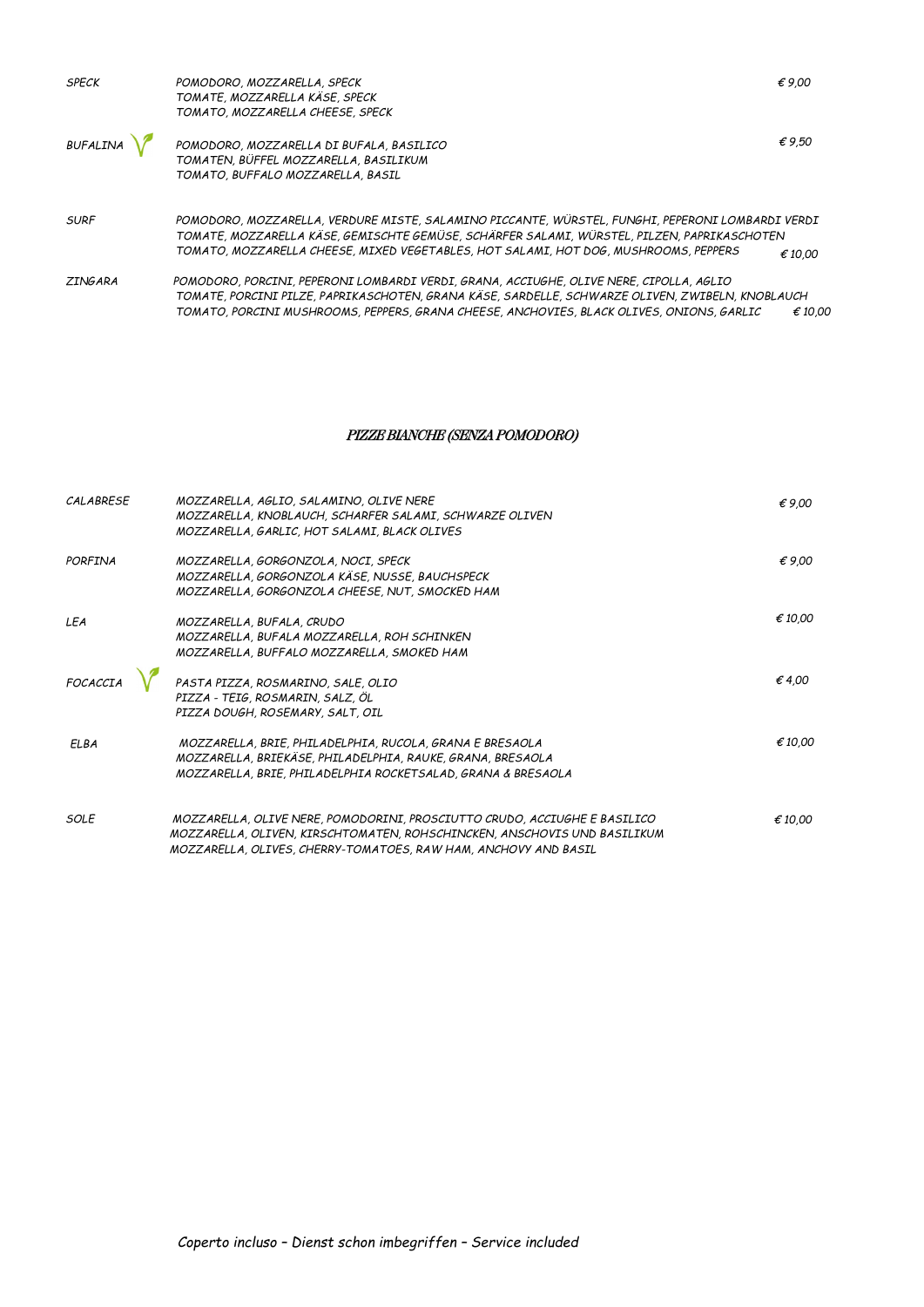| <b>SPECK</b>    | POMODORO, MOZZARELLA, SPECK<br>TOMATE, MOZZARELLA KÄSE, SPECK<br>TOMATO, MOZZARELLA CHEESE, SPECK                                                                                                                                                                                        | €9.00           |
|-----------------|------------------------------------------------------------------------------------------------------------------------------------------------------------------------------------------------------------------------------------------------------------------------------------------|-----------------|
| <b>BUFALINA</b> | POMODORO, MOZZARELLA DI BUFALA, BASILICO<br>TOMATEN, BÜFFEL MOZZARELLA, BASILIKUM<br>TOMATO, BUFFALO MOZZARELLA, BASIL                                                                                                                                                                   | $\epsilon$ 9.50 |
| <b>SURF</b>     | POMODORO, MOZZARELLA, VERDURE MISTE, SALAMINO PICCANTE, WÜRSTEL, FUNGHI, PEPERONI LOMBARDI VERDI<br>TOMATE, MOZZARELLA KÄSE, GEMISCHTE GEMÜSE, SCHÄRFER SALAMI, WÜRSTEL, PILZEN, PAPRIKASCHOTEN<br>TOMATO, MOZZARELLA CHEESE, MIXED VEGETABLES, HOT SALAMI, HOT DOG, MUSHROOMS, PEPPERS  | € 10.00         |
| <b>ZINGARA</b>  | POMODORO, PORCINI, PEPERONI LOMBARDI VERDI, GRANA, ACCIUGHE, OLIVE NERE, CIPOLLA, AGLIO<br>TOMATE, PORCINI PILZE, PAPRIKASCHOTEN, GRANA KÄSE, SARDELLE, SCHWARZE OLIVEN, ZWIBELN, KNOBLAUCH<br>TOMATO, PORCINI MUSHROOMS, PEPPERS, GRANA CHEESE, ANCHOVIES, BLACK OLIVES, ONIONS, GARLIC | € 10.00         |

## PIZZE BIANCHE (SENZA POMODORO)

| CALABRESE   | MOZZARELLA, AGLIO, SALAMINO, OLIVE NERE<br>MOZZARELLA, KNOBLAUCH, SCHARFER SALAMI, SCHWARZE OLIVEN<br>MOZZARELLA, GARLIC, HOT SALAMI, BLACK OLIVES                                                                       | €9.00   |
|-------------|--------------------------------------------------------------------------------------------------------------------------------------------------------------------------------------------------------------------------|---------|
| PORFINA     | MOZZARELLA, GORGONZOLA, NOCI, SPECK<br>MOZZARELLA, GORGONZOLA KÄSE, NUSSE, BAUCHSPECK<br>MOZZARELLA, GORGONZOLA CHEESE, NUT, SMOCKED HAM                                                                                 | €9.00   |
| LEA         | MOZZARELLA, BUFALA, CRUDO<br>MOZZARELLA, BUFALA MOZZARELLA, ROH SCHINKEN<br>MOZZARELLA, BUFFALO MOZZARELLA, SMOKED HAM                                                                                                   | € 10.00 |
| FOCACCIA    | PASTA PIZZA, ROSMARINO, SALE, OLIO<br>PIZZA - TEIG, ROSMARIN, SALZ, ÖL<br>PIZZA DOUGH, ROSEMARY, SALT, OIL                                                                                                               | €4,00   |
| <b>ELBA</b> | MOZZARELLA, BRIE, PHILADELPHIA, RUCOLA, GRANA E BRESAOLA<br>MOZZARELLA, BRIEKÄSE, PHILADELPHIA, RAUKE, GRANA, BRESAOLA<br>MOZZARELLA, BRIE, PHILADELPHIA ROCKETSALAD, GRANA & BRESAOLA                                   | € 10.00 |
| SOLE        | MOZZARELLA, OLIVE NERE, POMODORINI, PROSCIUTTO CRUDO, ACCIUGHE E BASILICO<br>MOZZARELLA, OLIVEN, KIRSCHTOMATEN, ROHSCHINCKEN, ANSCHOVIS UND BASILIKUM<br>MOZZARELLA, OLIVES, CHERRY-TOMATOES, RAW HAM, ANCHOVY AND BASIL | € 10.00 |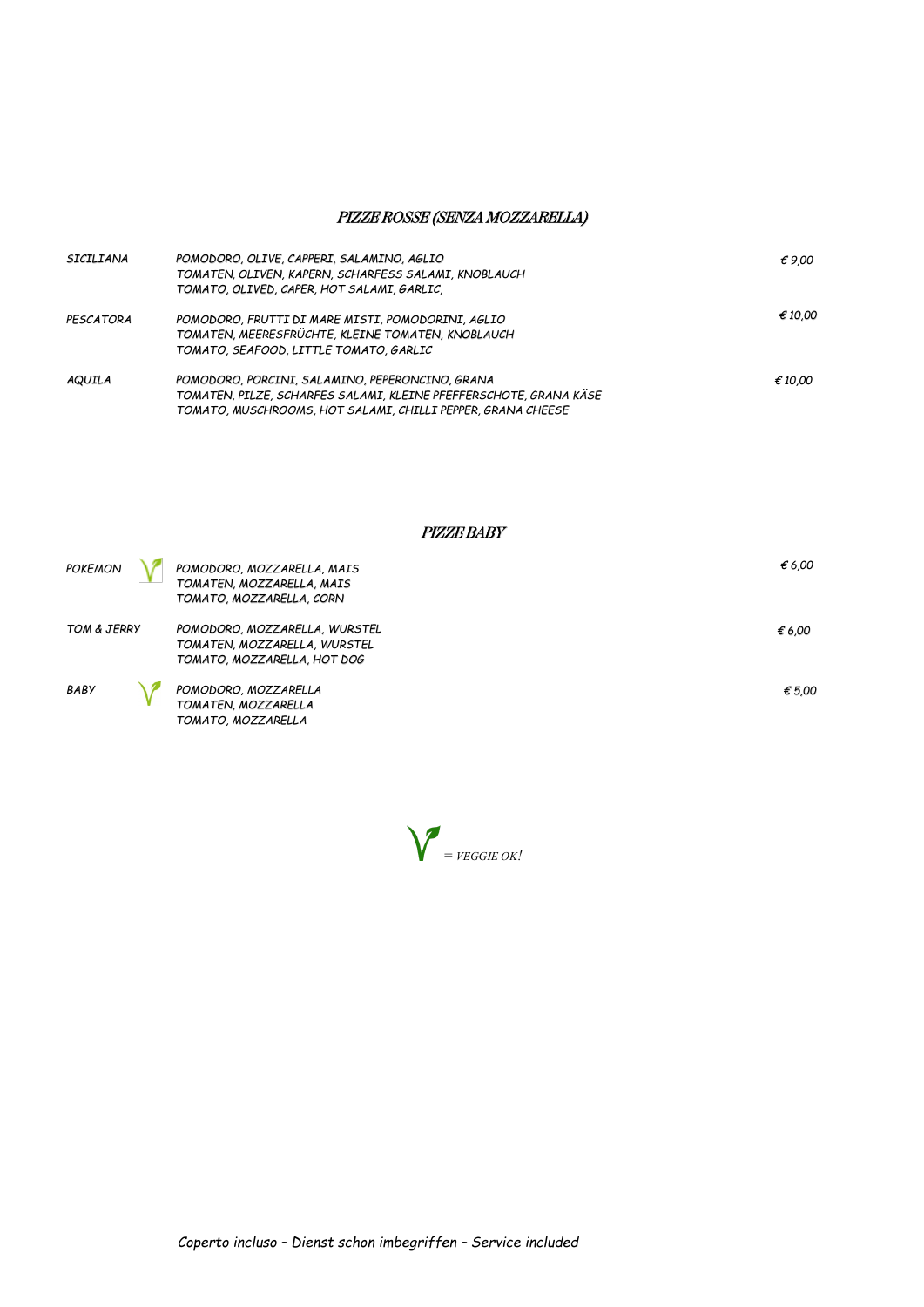## PIZZE ROSSE (SENZA MOZZARELLA)

| SICILIANA | POMODORO, OLIVE, CAPPERI, SALAMINO, AGLIO                         | €9.00   |
|-----------|-------------------------------------------------------------------|---------|
|           | TOMATEN, OLIVEN, KAPERN, SCHARFESS SALAMI, KNOBLAUCH              |         |
|           | TOMATO, OLIVED, CAPER, HOT SALAMI, GARLIC,                        |         |
| PESCATORA | POMODORO, FRUTTI DI MARE MISTI, POMODORINI, AGLIO                 | € 10.00 |
|           | TOMATEN, MEERESFRÜCHTE, KLEINE TOMATEN, KNOBLAUCH                 |         |
|           | TOMATO, SEAFOOD, LITTLE TOMATO, GARLIC                            |         |
| AQUILA    | POMODORO, PORCINI, SALAMINO, PEPERONCINO, GRANA                   | € 10.00 |
|           | TOMATEN, PILZE, SCHARFES SALAMI, KLEINE PFEFFERSCHOTE, GRANA KÄSE |         |
|           | TOMATO, MUSCHROOMS, HOT SALAMI, CHILLI PEPPER, GRANA CHEESE       |         |

*POKEMON POMODORO, MOZZARELLA, MAIS TOMATEN, MOZZARELLA, MAIS TOMATO, MOZZARELLA, CORN € 6,00 TOM & JERRY POMODORO, MOZZARELLA, WURSTEL TOMATEN, MOZZARELLA, WURSTEL TOMATO, MOZZARELLA, HOT DOG € 6,00 BABY POMODORO, MOZZARELLA TOMATEN, MOZZARELLA TOMATO, MOZZARELLA € 5,00*

PIZZE BABY

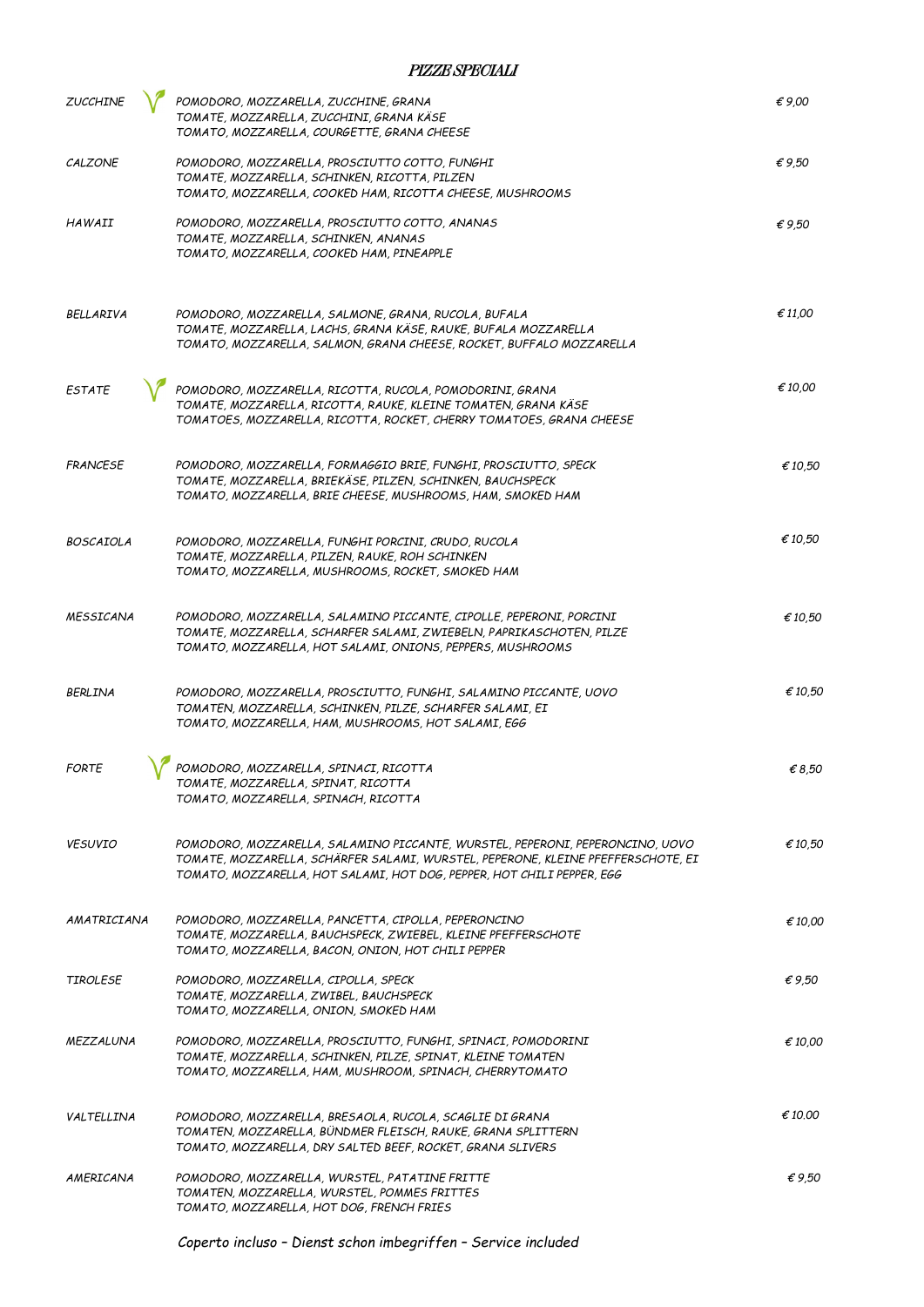### PIZZE SPECIALI

| <b>ZUCCHINE</b>  | POMODORO, MOZZARELLA, ZUCCHINE, GRANA<br>TOMATE, MOZZARELLA, ZUCCHINI, GRANA KÄSE<br>TOMATO, MOZZARELLA, COURGETTE, GRANA CHEESE                                                                                                            | $\epsilon$ 9.00 |
|------------------|---------------------------------------------------------------------------------------------------------------------------------------------------------------------------------------------------------------------------------------------|-----------------|
| CALZONE          | POMODORO, MOZZARELLA, PROSCIUTTO COTTO, FUNGHI<br>TOMATE, MOZZARELLA, SCHINKEN, RICOTTA, PILZEN<br>TOMATO, MOZZARELLA, COOKED HAM, RICOTTA CHEESE, MUSHROOMS                                                                                | $\epsilon$ 9.50 |
| HAWAII           | POMODORO, MOZZARELLA, PROSCIUTTO COTTO, ANANAS<br>TOMATE, MOZZARELLA, SCHINKEN, ANANAS<br>TOMATO, MOZZARELLA, COOKED HAM, PINEAPPLE                                                                                                         | $\epsilon$ 9.50 |
| <b>BELLARIVA</b> | POMODORO, MOZZARELLA, SALMONE, GRANA, RUCOLA, BUFALA<br>TOMATE, MOZZARELLA, LACHS, GRANA KÄSE, RAUKE, BUFALA MOZZARELLA<br>TOMATO, MOZZARELLA, SALMON, GRANA CHEESE, ROCKET, BUFFALO MOZZARELLA                                             | € 11.00         |
| <b>ESTATE</b>    | POMODORO, MOZZARELLA, RICOTTA, RUCOLA, POMODORINI, GRANA<br>TOMATE, MOZZARELLA, RICOTTA, RAUKE, KLEINE TOMATEN, GRANA KÄSE<br>TOMATOES, MOZZARELLA, RICOTTA, ROCKET, CHERRY TOMATOES, GRANA CHEESE                                          | € 10,00         |
| <b>FRANCESE</b>  | POMODORO, MOZZARELLA, FORMAGGIO BRIE, FUNGHI, PROSCIUTTO, SPECK<br>TOMATE, MOZZARELLA, BRIEKÄSE, PILZEN, SCHINKEN, BAUCHSPECK<br>TOMATO, MOZZARELLA, BRIE CHEESE, MUSHROOMS, HAM, SMOKED HAM                                                | €10,50          |
| <b>BOSCAIOLA</b> | POMODORO, MOZZARELLA, FUNGHI PORCINI, CRUDO, RUCOLA<br>TOMATE, MOZZARELLA, PILZEN, RAUKE, ROH SCHINKEN<br>TOMATO, MOZZARELLA, MUSHROOMS, ROCKET, SMOKED HAM                                                                                 | €10,50          |
| <b>MESSICANA</b> | POMODORO, MOZZARELLA, SALAMINO PICCANTE, CIPOLLE, PEPERONI, PORCINI<br>TOMATE, MOZZARELLA, SCHARFER SALAMI, ZWIEBELN, PAPRIKASCHOTEN, PILZE<br>TOMATO, MOZZARELLA, HOT SALAMI, ONIONS, PEPPERS, MUSHROOMS                                   | € 10,50         |
| <b>BERLINA</b>   | POMODORO, MOZZARELLA, PROSCIUTTO, FUNGHI, SALAMINO PICCANTE, UOVO<br>TOMATEN, MOZZARELLA, SCHINKEN, PILZE, SCHARFER SALAMI, EI<br>TOMATO, MOZZARELLA, HAM, MUSHROOMS, HOT SALAMI, EGG                                                       | €10,50          |
| <b>FORTE</b>     | POMODORO, MOZZARELLA, SPINACI, RICOTTA<br>TOMATE, MOZZARELLA, SPINAT, RICOTTA<br>TOMATO, MOZZARELLA, SPINACH, RICOTTA                                                                                                                       | € 8,50          |
| <b>VESUVIO</b>   | POMODORO, MOZZARELLA, SALAMINO PICCANTE, WURSTEL, PEPERONI, PEPERONCINO, UOVO<br>TOMATE, MOZZARELLA, SCHÄRFER SALAMI, WURSTEL, PEPERONE, KLEINE PFEFFERSCHOTE, EI<br>TOMATO, MOZZARELLA, HOT SALAMI, HOT DOG, PEPPER, HOT CHILI PEPPER, EGG | € 10,50         |
| AMATRICIANA      | POMODORO, MOZZARELLA, PANCETTA, CIPOLLA, PEPERONCINO<br>TOMATE, MOZZARELLA, BAUCHSPECK, ZWIEBEL, KLEINE PFEFFERSCHOTE<br>TOMATO, MOZZARELLA, BACON, ONION, HOT CHILI PEPPER                                                                 | € 10,00         |
| <b>TIROLESE</b>  | POMODORO, MOZZARELLA, CIPOLLA, SPECK<br>TOMATE, MOZZARELLA, ZWIBEL, BAUCHSPECK<br>TOMATO, MOZZARELLA, ONION, SMOKED HAM                                                                                                                     | $\epsilon$ 9,50 |
| MEZZALUNA        | POMODORO, MOZZARELLA, PROSCIUTTO, FUNGHI, SPINACI, POMODORINI<br>TOMATE, MOZZARELLA, SCHINKEN, PILZE, SPINAT, KLEINE TOMATEN<br>TOMATO, MOZZARELLA, HAM, MUSHROOM, SPINACH, CHERRYTOMATO                                                    | € 10,00         |
| VALTELLINA       | POMODORO, MOZZARELLA, BRESAOLA, RUCOLA, SCAGLIE DI GRANA<br>TOMATEN, MOZZARELLA, BÜNDMER FLEISCH, RAUKE, GRANA SPLITTERN<br>TOMATO, MOZZARELLA, DRY SALTED BEEF, ROCKET, GRANA SLIVERS                                                      | € 10.00         |
| AMERICANA        | POMODORO, MOZZARELLA, WURSTEL, PATATINE FRITTE<br>TOMATEN, MOZZARELLA, WURSTEL, POMMES FRITTES<br>TOMATO, MOZZARELLA, HOT DOG, FRENCH FRIES                                                                                                 | €9,50           |

*Coperto incluso – Dienst schon imbegriffen – Service included*